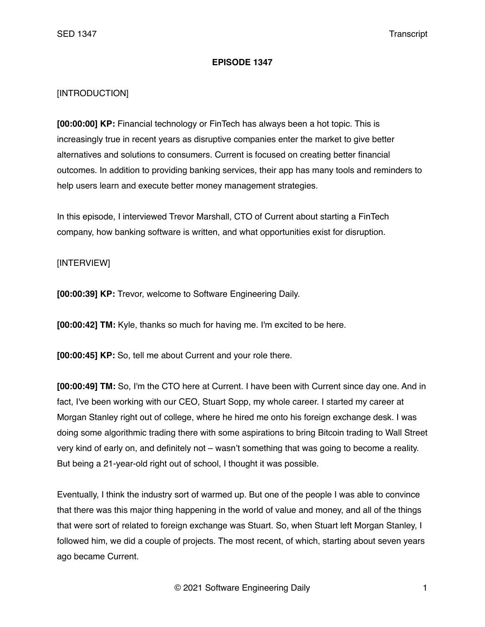## **EPISODE 1347**

## [INTRODUCTION]

**[00:00:00] KP:** Financial technology or FinTech has always been a hot topic. This is increasingly true in recent years as disruptive companies enter the market to give better alternatives and solutions to consumers. Current is focused on creating better financial outcomes. In addition to providing banking services, their app has many tools and reminders to help users learn and execute better money management strategies.

In this episode, I interviewed Trevor Marshall, CTO of Current about starting a FinTech company, how banking software is written, and what opportunities exist for disruption.

## [INTERVIEW]

**[00:00:39] KP:** Trevor, welcome to Software Engineering Daily.

**[00:00:42] TM:** Kyle, thanks so much for having me. I'm excited to be here.

**[00:00:45] KP:** So, tell me about Current and your role there.

**[00:00:49] TM:** So, I'm the CTO here at Current. I have been with Current since day one. And in fact, I've been working with our CEO, Stuart Sopp, my whole career. I started my career at Morgan Stanley right out of college, where he hired me onto his foreign exchange desk. I was doing some algorithmic trading there with some aspirations to bring Bitcoin trading to Wall Street very kind of early on, and definitely not – wasn't something that was going to become a reality. But being a 21-year-old right out of school, I thought it was possible.

Eventually, I think the industry sort of warmed up. But one of the people I was able to convince that there was this major thing happening in the world of value and money, and all of the things that were sort of related to foreign exchange was Stuart. So, when Stuart left Morgan Stanley, I followed him, we did a couple of projects. The most recent, of which, starting about seven years ago became Current.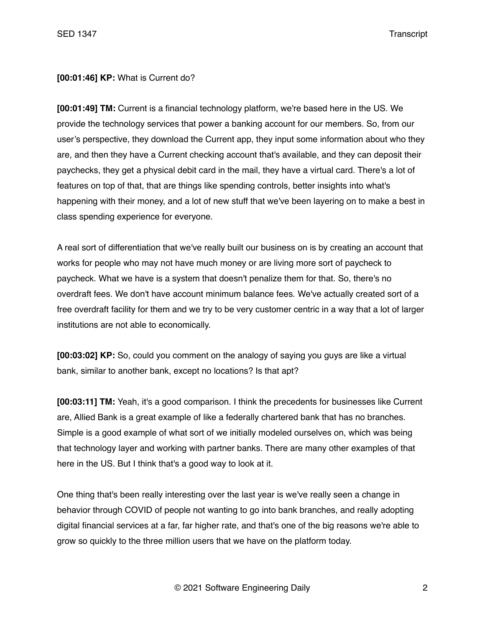## **[00:01:46] KP:** What is Current do?

**[00:01:49] TM:** Current is a financial technology platform, we're based here in the US. We provide the technology services that power a banking account for our members. So, from our user's perspective, they download the Current app, they input some information about who they are, and then they have a Current checking account that's available, and they can deposit their paychecks, they get a physical debit card in the mail, they have a virtual card. There's a lot of features on top of that, that are things like spending controls, better insights into what's happening with their money, and a lot of new stuff that we've been layering on to make a best in class spending experience for everyone.

A real sort of differentiation that we've really built our business on is by creating an account that works for people who may not have much money or are living more sort of paycheck to paycheck. What we have is a system that doesn't penalize them for that. So, there's no overdraft fees. We don't have account minimum balance fees. We've actually created sort of a free overdraft facility for them and we try to be very customer centric in a way that a lot of larger institutions are not able to economically.

**[00:03:02] KP:** So, could you comment on the analogy of saying you guys are like a virtual bank, similar to another bank, except no locations? Is that apt?

**[00:03:11] TM:** Yeah, it's a good comparison. I think the precedents for businesses like Current are, Allied Bank is a great example of like a federally chartered bank that has no branches. Simple is a good example of what sort of we initially modeled ourselves on, which was being that technology layer and working with partner banks. There are many other examples of that here in the US. But I think that's a good way to look at it.

One thing that's been really interesting over the last year is we've really seen a change in behavior through COVID of people not wanting to go into bank branches, and really adopting digital financial services at a far, far higher rate, and that's one of the big reasons we're able to grow so quickly to the three million users that we have on the platform today.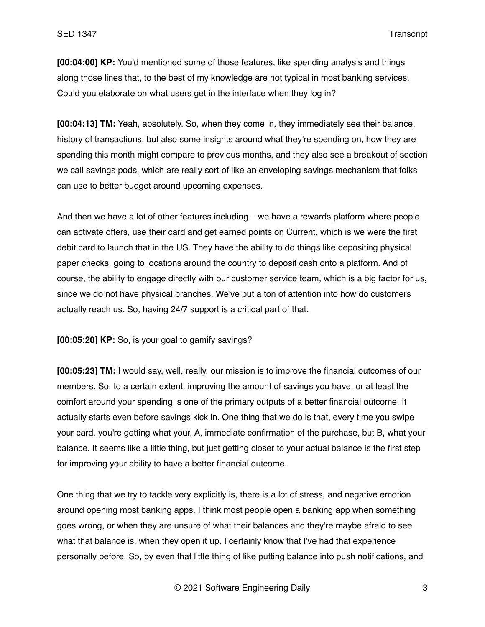**[00:04:00] KP:** You'd mentioned some of those features, like spending analysis and things along those lines that, to the best of my knowledge are not typical in most banking services. Could you elaborate on what users get in the interface when they log in?

**[00:04:13] TM:** Yeah, absolutely. So, when they come in, they immediately see their balance, history of transactions, but also some insights around what they're spending on, how they are spending this month might compare to previous months, and they also see a breakout of section we call savings pods, which are really sort of like an enveloping savings mechanism that folks can use to better budget around upcoming expenses.

And then we have a lot of other features including – we have a rewards platform where people can activate offers, use their card and get earned points on Current, which is we were the first debit card to launch that in the US. They have the ability to do things like depositing physical paper checks, going to locations around the country to deposit cash onto a platform. And of course, the ability to engage directly with our customer service team, which is a big factor for us, since we do not have physical branches. We've put a ton of attention into how do customers actually reach us. So, having 24/7 support is a critical part of that.

**[00:05:20] KP:** So, is your goal to gamify savings?

**[00:05:23] TM:** I would say, well, really, our mission is to improve the financial outcomes of our members. So, to a certain extent, improving the amount of savings you have, or at least the comfort around your spending is one of the primary outputs of a better financial outcome. It actually starts even before savings kick in. One thing that we do is that, every time you swipe your card, you're getting what your, A, immediate confirmation of the purchase, but B, what your balance. It seems like a little thing, but just getting closer to your actual balance is the first step for improving your ability to have a better financial outcome.

One thing that we try to tackle very explicitly is, there is a lot of stress, and negative emotion around opening most banking apps. I think most people open a banking app when something goes wrong, or when they are unsure of what their balances and they're maybe afraid to see what that balance is, when they open it up. I certainly know that I've had that experience personally before. So, by even that little thing of like putting balance into push notifications, and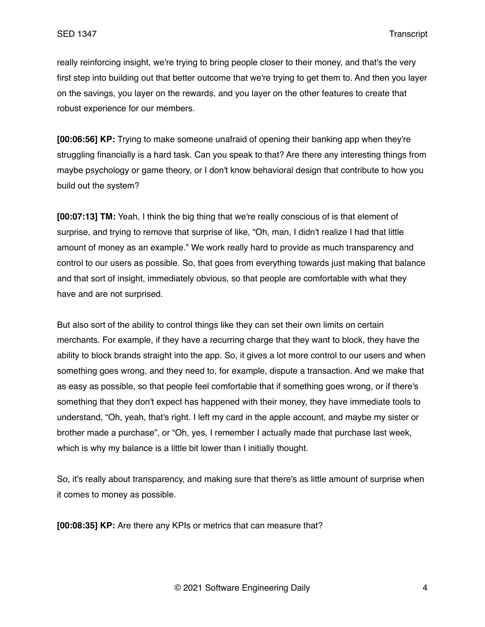really reinforcing insight, we're trying to bring people closer to their money, and that's the very first step into building out that better outcome that we're trying to get them to. And then you layer on the savings, you layer on the rewards, and you layer on the other features to create that robust experience for our members.

**[00:06:56] KP:** Trying to make someone unafraid of opening their banking app when they're struggling financially is a hard task. Can you speak to that? Are there any interesting things from maybe psychology or game theory, or I don't know behavioral design that contribute to how you build out the system?

**[00:07:13] TM:** Yeah, I think the big thing that we're really conscious of is that element of surprise, and trying to remove that surprise of like, "Oh, man, I didn't realize I had that little amount of money as an example." We work really hard to provide as much transparency and control to our users as possible. So, that goes from everything towards just making that balance and that sort of insight, immediately obvious, so that people are comfortable with what they have and are not surprised.

But also sort of the ability to control things like they can set their own limits on certain merchants. For example, if they have a recurring charge that they want to block, they have the ability to block brands straight into the app. So, it gives a lot more control to our users and when something goes wrong, and they need to, for example, dispute a transaction. And we make that as easy as possible, so that people feel comfortable that if something goes wrong, or if there's something that they don't expect has happened with their money, they have immediate tools to understand, "Oh, yeah, that's right. I left my card in the apple account, and maybe my sister or brother made a purchase", or "Oh, yes, I remember I actually made that purchase last week, which is why my balance is a little bit lower than I initially thought.

So, it's really about transparency, and making sure that there's as little amount of surprise when it comes to money as possible.

**[00:08:35] KP:** Are there any KPIs or metrics that can measure that?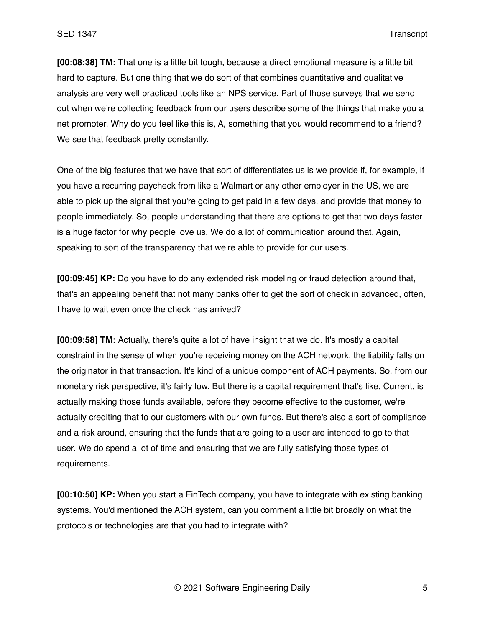**[00:08:38] TM:** That one is a little bit tough, because a direct emotional measure is a little bit hard to capture. But one thing that we do sort of that combines quantitative and qualitative analysis are very well practiced tools like an NPS service. Part of those surveys that we send out when we're collecting feedback from our users describe some of the things that make you a net promoter. Why do you feel like this is, A, something that you would recommend to a friend? We see that feedback pretty constantly.

One of the big features that we have that sort of differentiates us is we provide if, for example, if you have a recurring paycheck from like a Walmart or any other employer in the US, we are able to pick up the signal that you're going to get paid in a few days, and provide that money to people immediately. So, people understanding that there are options to get that two days faster is a huge factor for why people love us. We do a lot of communication around that. Again, speaking to sort of the transparency that we're able to provide for our users.

**[00:09:45] KP:** Do you have to do any extended risk modeling or fraud detection around that, that's an appealing benefit that not many banks offer to get the sort of check in advanced, often, I have to wait even once the check has arrived?

**[00:09:58] TM:** Actually, there's quite a lot of have insight that we do. It's mostly a capital constraint in the sense of when you're receiving money on the ACH network, the liability falls on the originator in that transaction. It's kind of a unique component of ACH payments. So, from our monetary risk perspective, it's fairly low. But there is a capital requirement that's like, Current, is actually making those funds available, before they become effective to the customer, we're actually crediting that to our customers with our own funds. But there's also a sort of compliance and a risk around, ensuring that the funds that are going to a user are intended to go to that user. We do spend a lot of time and ensuring that we are fully satisfying those types of requirements.

**[00:10:50] KP:** When you start a FinTech company, you have to integrate with existing banking systems. You'd mentioned the ACH system, can you comment a little bit broadly on what the protocols or technologies are that you had to integrate with?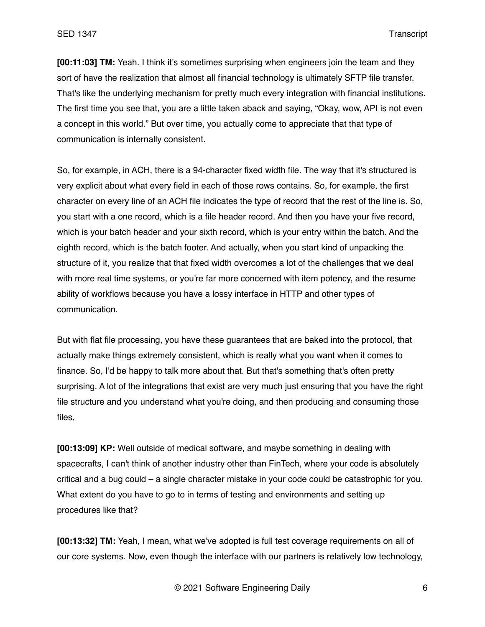**[00:11:03] TM:** Yeah. I think it's sometimes surprising when engineers join the team and they sort of have the realization that almost all financial technology is ultimately SFTP file transfer. That's like the underlying mechanism for pretty much every integration with financial institutions. The first time you see that, you are a little taken aback and saying, "Okay, wow, API is not even a concept in this world." But over time, you actually come to appreciate that that type of communication is internally consistent.

So, for example, in ACH, there is a 94-character fixed width file. The way that it's structured is very explicit about what every field in each of those rows contains. So, for example, the first character on every line of an ACH file indicates the type of record that the rest of the line is. So, you start with a one record, which is a file header record. And then you have your five record, which is your batch header and your sixth record, which is your entry within the batch. And the eighth record, which is the batch footer. And actually, when you start kind of unpacking the structure of it, you realize that that fixed width overcomes a lot of the challenges that we deal with more real time systems, or you're far more concerned with item potency, and the resume ability of workflows because you have a lossy interface in HTTP and other types of communication.

But with flat file processing, you have these guarantees that are baked into the protocol, that actually make things extremely consistent, which is really what you want when it comes to finance. So, I'd be happy to talk more about that. But that's something that's often pretty surprising. A lot of the integrations that exist are very much just ensuring that you have the right file structure and you understand what you're doing, and then producing and consuming those files,

**[00:13:09] KP:** Well outside of medical software, and maybe something in dealing with spacecrafts, I can't think of another industry other than FinTech, where your code is absolutely critical and a bug could – a single character mistake in your code could be catastrophic for you. What extent do you have to go to in terms of testing and environments and setting up procedures like that?

**[00:13:32] TM:** Yeah, I mean, what we've adopted is full test coverage requirements on all of our core systems. Now, even though the interface with our partners is relatively low technology,

© 2021 Software Engineering Daily 6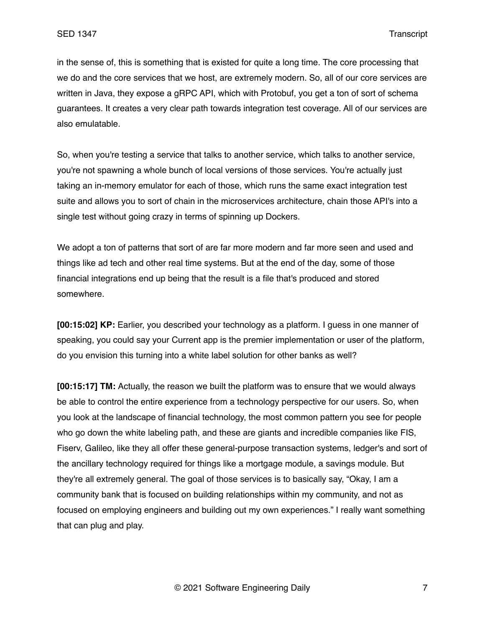in the sense of, this is something that is existed for quite a long time. The core processing that we do and the core services that we host, are extremely modern. So, all of our core services are written in Java, they expose a gRPC API, which with Protobuf, you get a ton of sort of schema guarantees. It creates a very clear path towards integration test coverage. All of our services are also emulatable.

So, when you're testing a service that talks to another service, which talks to another service, you're not spawning a whole bunch of local versions of those services. You're actually just taking an in-memory emulator for each of those, which runs the same exact integration test suite and allows you to sort of chain in the microservices architecture, chain those API's into a single test without going crazy in terms of spinning up Dockers.

We adopt a ton of patterns that sort of are far more modern and far more seen and used and things like ad tech and other real time systems. But at the end of the day, some of those financial integrations end up being that the result is a file that's produced and stored somewhere.

**[00:15:02] KP:** Earlier, you described your technology as a platform. I guess in one manner of speaking, you could say your Current app is the premier implementation or user of the platform, do you envision this turning into a white label solution for other banks as well?

**[00:15:17] TM:** Actually, the reason we built the platform was to ensure that we would always be able to control the entire experience from a technology perspective for our users. So, when you look at the landscape of financial technology, the most common pattern you see for people who go down the white labeling path, and these are giants and incredible companies like FIS, Fiserv, Galileo, like they all offer these general-purpose transaction systems, ledger's and sort of the ancillary technology required for things like a mortgage module, a savings module. But they're all extremely general. The goal of those services is to basically say, "Okay, I am a community bank that is focused on building relationships within my community, and not as focused on employing engineers and building out my own experiences." I really want something that can plug and play.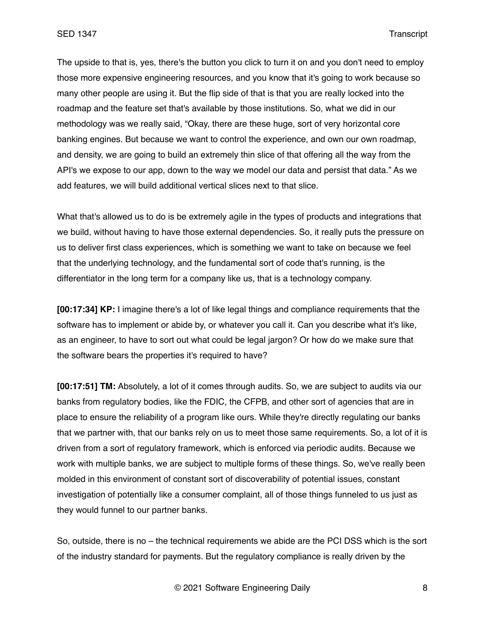The upside to that is, yes, there's the button you click to turn it on and you don't need to employ those more expensive engineering resources, and you know that it's going to work because so many other people are using it. But the flip side of that is that you are really locked into the roadmap and the feature set that's available by those institutions. So, what we did in our methodology was we really said, "Okay, there are these huge, sort of very horizontal core banking engines. But because we want to control the experience, and own our own roadmap, and density, we are going to build an extremely thin slice of that offering all the way from the API's we expose to our app, down to the way we model our data and persist that data." As we add features, we will build additional vertical slices next to that slice.

What that's allowed us to do is be extremely agile in the types of products and integrations that we build, without having to have those external dependencies. So, it really puts the pressure on us to deliver first class experiences, which is something we want to take on because we feel that the underlying technology, and the fundamental sort of code that's running, is the differentiator in the long term for a company like us, that is a technology company.

**[00:17:34] KP:** I imagine there's a lot of like legal things and compliance requirements that the software has to implement or abide by, or whatever you call it. Can you describe what it's like, as an engineer, to have to sort out what could be legal jargon? Or how do we make sure that the software bears the properties it's required to have?

**[00:17:51] TM:** Absolutely, a lot of it comes through audits. So, we are subject to audits via our banks from regulatory bodies, like the FDIC, the CFPB, and other sort of agencies that are in place to ensure the reliability of a program like ours. While they're directly regulating our banks that we partner with, that our banks rely on us to meet those same requirements. So, a lot of it is driven from a sort of regulatory framework, which is enforced via periodic audits. Because we work with multiple banks, we are subject to multiple forms of these things. So, we've really been molded in this environment of constant sort of discoverability of potential issues, constant investigation of potentially like a consumer complaint, all of those things funneled to us just as they would funnel to our partner banks.

So, outside, there is no – the technical requirements we abide are the PCI DSS which is the sort of the industry standard for payments. But the regulatory compliance is really driven by the

© 2021 Software Engineering Daily 8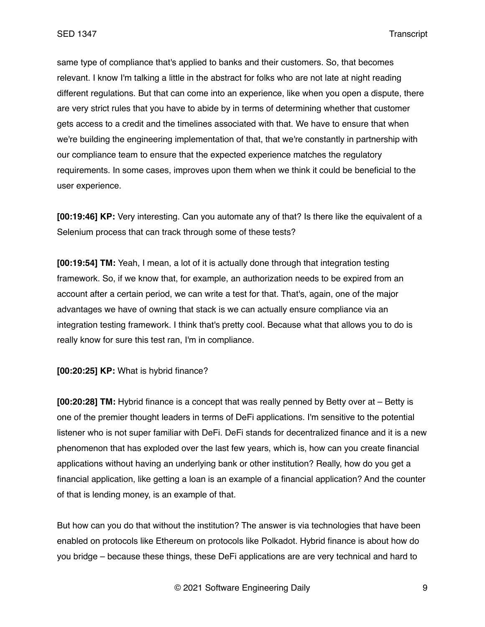same type of compliance that's applied to banks and their customers. So, that becomes relevant. I know I'm talking a little in the abstract for folks who are not late at night reading different regulations. But that can come into an experience, like when you open a dispute, there are very strict rules that you have to abide by in terms of determining whether that customer gets access to a credit and the timelines associated with that. We have to ensure that when we're building the engineering implementation of that, that we're constantly in partnership with our compliance team to ensure that the expected experience matches the regulatory requirements. In some cases, improves upon them when we think it could be beneficial to the user experience.

**[00:19:46] KP:** Very interesting. Can you automate any of that? Is there like the equivalent of a Selenium process that can track through some of these tests?

**[00:19:54] TM:** Yeah, I mean, a lot of it is actually done through that integration testing framework. So, if we know that, for example, an authorization needs to be expired from an account after a certain period, we can write a test for that. That's, again, one of the major advantages we have of owning that stack is we can actually ensure compliance via an integration testing framework. I think that's pretty cool. Because what that allows you to do is really know for sure this test ran, I'm in compliance.

**[00:20:25] KP:** What is hybrid finance?

**[00:20:28] TM:** Hybrid finance is a concept that was really penned by Betty over at – Betty is one of the premier thought leaders in terms of DeFi applications. I'm sensitive to the potential listener who is not super familiar with DeFi. DeFi stands for decentralized finance and it is a new phenomenon that has exploded over the last few years, which is, how can you create financial applications without having an underlying bank or other institution? Really, how do you get a financial application, like getting a loan is an example of a financial application? And the counter of that is lending money, is an example of that.

But how can you do that without the institution? The answer is via technologies that have been enabled on protocols like Ethereum on protocols like Polkadot. Hybrid finance is about how do you bridge – because these things, these DeFi applications are are very technical and hard to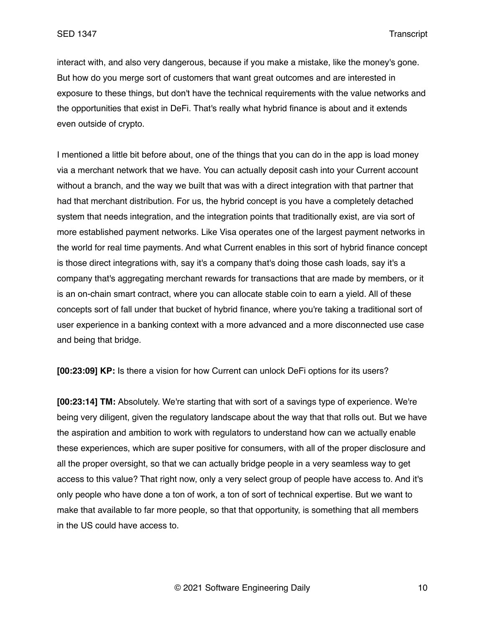interact with, and also very dangerous, because if you make a mistake, like the money's gone. But how do you merge sort of customers that want great outcomes and are interested in exposure to these things, but don't have the technical requirements with the value networks and the opportunities that exist in DeFi. That's really what hybrid finance is about and it extends even outside of crypto.

I mentioned a little bit before about, one of the things that you can do in the app is load money via a merchant network that we have. You can actually deposit cash into your Current account without a branch, and the way we built that was with a direct integration with that partner that had that merchant distribution. For us, the hybrid concept is you have a completely detached system that needs integration, and the integration points that traditionally exist, are via sort of more established payment networks. Like Visa operates one of the largest payment networks in the world for real time payments. And what Current enables in this sort of hybrid finance concept is those direct integrations with, say it's a company that's doing those cash loads, say it's a company that's aggregating merchant rewards for transactions that are made by members, or it is an on-chain smart contract, where you can allocate stable coin to earn a yield. All of these concepts sort of fall under that bucket of hybrid finance, where you're taking a traditional sort of user experience in a banking context with a more advanced and a more disconnected use case and being that bridge.

**[00:23:09] KP:** Is there a vision for how Current can unlock DeFi options for its users?

**[00:23:14] TM:** Absolutely. We're starting that with sort of a savings type of experience. We're being very diligent, given the regulatory landscape about the way that that rolls out. But we have the aspiration and ambition to work with regulators to understand how can we actually enable these experiences, which are super positive for consumers, with all of the proper disclosure and all the proper oversight, so that we can actually bridge people in a very seamless way to get access to this value? That right now, only a very select group of people have access to. And it's only people who have done a ton of work, a ton of sort of technical expertise. But we want to make that available to far more people, so that that opportunity, is something that all members in the US could have access to.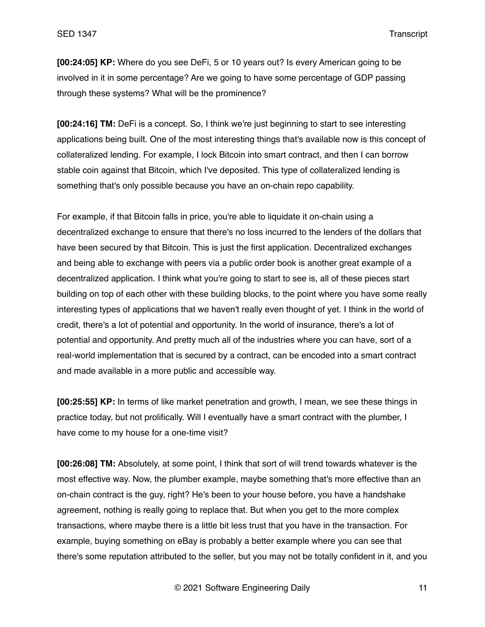**[00:24:05] KP:** Where do you see DeFi, 5 or 10 years out? Is every American going to be involved in it in some percentage? Are we going to have some percentage of GDP passing through these systems? What will be the prominence?

**[00:24:16] TM:** DeFi is a concept. So, I think we're just beginning to start to see interesting applications being built. One of the most interesting things that's available now is this concept of collateralized lending. For example, I lock Bitcoin into smart contract, and then I can borrow stable coin against that Bitcoin, which I've deposited. This type of collateralized lending is something that's only possible because you have an on-chain repo capability.

For example, if that Bitcoin falls in price, you're able to liquidate it on-chain using a decentralized exchange to ensure that there's no loss incurred to the lenders of the dollars that have been secured by that Bitcoin. This is just the first application. Decentralized exchanges and being able to exchange with peers via a public order book is another great example of a decentralized application. I think what you're going to start to see is, all of these pieces start building on top of each other with these building blocks, to the point where you have some really interesting types of applications that we haven't really even thought of yet. I think in the world of credit, there's a lot of potential and opportunity. In the world of insurance, there's a lot of potential and opportunity. And pretty much all of the industries where you can have, sort of a real-world implementation that is secured by a contract, can be encoded into a smart contract and made available in a more public and accessible way.

**[00:25:55] KP:** In terms of like market penetration and growth, I mean, we see these things in practice today, but not prolifically. Will I eventually have a smart contract with the plumber, I have come to my house for a one-time visit?

**[00:26:08] TM:** Absolutely, at some point, I think that sort of will trend towards whatever is the most effective way. Now, the plumber example, maybe something that's more effective than an on-chain contract is the guy, right? He's been to your house before, you have a handshake agreement, nothing is really going to replace that. But when you get to the more complex transactions, where maybe there is a little bit less trust that you have in the transaction. For example, buying something on eBay is probably a better example where you can see that there's some reputation attributed to the seller, but you may not be totally confident in it, and you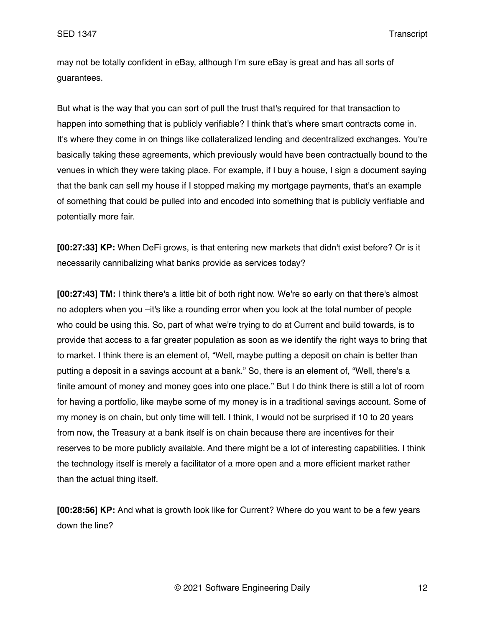may not be totally confident in eBay, although I'm sure eBay is great and has all sorts of guarantees.

But what is the way that you can sort of pull the trust that's required for that transaction to happen into something that is publicly verifiable? I think that's where smart contracts come in. It's where they come in on things like collateralized lending and decentralized exchanges. You're basically taking these agreements, which previously would have been contractually bound to the venues in which they were taking place. For example, if I buy a house, I sign a document saying that the bank can sell my house if I stopped making my mortgage payments, that's an example of something that could be pulled into and encoded into something that is publicly verifiable and potentially more fair.

**[00:27:33] KP:** When DeFi grows, is that entering new markets that didn't exist before? Or is it necessarily cannibalizing what banks provide as services today?

**[00:27:43] TM:** I think there's a little bit of both right now. We're so early on that there's almost no adopters when you –it's like a rounding error when you look at the total number of people who could be using this. So, part of what we're trying to do at Current and build towards, is to provide that access to a far greater population as soon as we identify the right ways to bring that to market. I think there is an element of, "Well, maybe putting a deposit on chain is better than putting a deposit in a savings account at a bank." So, there is an element of, "Well, there's a finite amount of money and money goes into one place." But I do think there is still a lot of room for having a portfolio, like maybe some of my money is in a traditional savings account. Some of my money is on chain, but only time will tell. I think, I would not be surprised if 10 to 20 years from now, the Treasury at a bank itself is on chain because there are incentives for their reserves to be more publicly available. And there might be a lot of interesting capabilities. I think the technology itself is merely a facilitator of a more open and a more efficient market rather than the actual thing itself.

**[00:28:56] KP:** And what is growth look like for Current? Where do you want to be a few years down the line?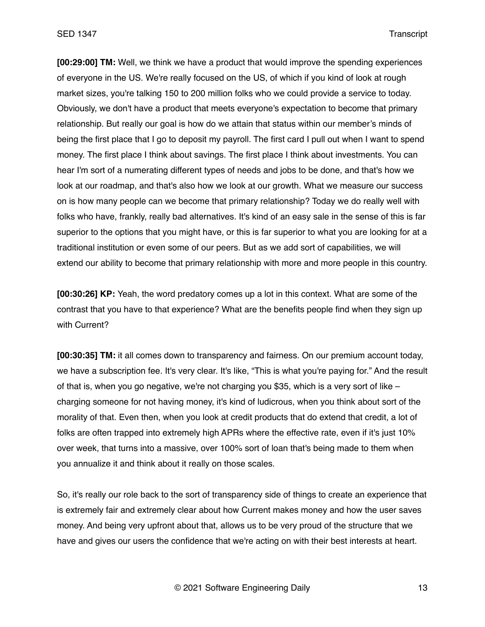**[00:29:00] TM:** Well, we think we have a product that would improve the spending experiences of everyone in the US. We're really focused on the US, of which if you kind of look at rough market sizes, you're talking 150 to 200 million folks who we could provide a service to today. Obviously, we don't have a product that meets everyone's expectation to become that primary relationship. But really our goal is how do we attain that status within our member's minds of being the first place that I go to deposit my payroll. The first card I pull out when I want to spend money. The first place I think about savings. The first place I think about investments. You can hear I'm sort of a numerating different types of needs and jobs to be done, and that's how we look at our roadmap, and that's also how we look at our growth. What we measure our success on is how many people can we become that primary relationship? Today we do really well with folks who have, frankly, really bad alternatives. It's kind of an easy sale in the sense of this is far superior to the options that you might have, or this is far superior to what you are looking for at a traditional institution or even some of our peers. But as we add sort of capabilities, we will extend our ability to become that primary relationship with more and more people in this country.

**[00:30:26] KP:** Yeah, the word predatory comes up a lot in this context. What are some of the contrast that you have to that experience? What are the benefits people find when they sign up with Current?

**[00:30:35] TM:** it all comes down to transparency and fairness. On our premium account today, we have a subscription fee. It's very clear. It's like, "This is what you're paying for." And the result of that is, when you go negative, we're not charging you \$35, which is a very sort of like – charging someone for not having money, it's kind of ludicrous, when you think about sort of the morality of that. Even then, when you look at credit products that do extend that credit, a lot of folks are often trapped into extremely high APRs where the effective rate, even if it's just 10% over week, that turns into a massive, over 100% sort of loan that's being made to them when you annualize it and think about it really on those scales.

So, it's really our role back to the sort of transparency side of things to create an experience that is extremely fair and extremely clear about how Current makes money and how the user saves money. And being very upfront about that, allows us to be very proud of the structure that we have and gives our users the confidence that we're acting on with their best interests at heart.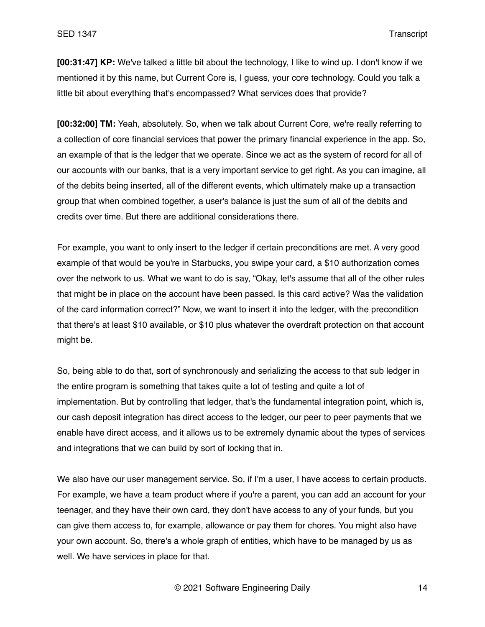**[00:31:47] KP:** We've talked a little bit about the technology, I like to wind up. I don't know if we mentioned it by this name, but Current Core is, I guess, your core technology. Could you talk a little bit about everything that's encompassed? What services does that provide?

**[00:32:00] TM:** Yeah, absolutely. So, when we talk about Current Core, we're really referring to a collection of core financial services that power the primary financial experience in the app. So, an example of that is the ledger that we operate. Since we act as the system of record for all of our accounts with our banks, that is a very important service to get right. As you can imagine, all of the debits being inserted, all of the different events, which ultimately make up a transaction group that when combined together, a user's balance is just the sum of all of the debits and credits over time. But there are additional considerations there.

For example, you want to only insert to the ledger if certain preconditions are met. A very good example of that would be you're in Starbucks, you swipe your card, a \$10 authorization comes over the network to us. What we want to do is say, "Okay, let's assume that all of the other rules that might be in place on the account have been passed. Is this card active? Was the validation of the card information correct?" Now, we want to insert it into the ledger, with the precondition that there's at least \$10 available, or \$10 plus whatever the overdraft protection on that account might be.

So, being able to do that, sort of synchronously and serializing the access to that sub ledger in the entire program is something that takes quite a lot of testing and quite a lot of implementation. But by controlling that ledger, that's the fundamental integration point, which is, our cash deposit integration has direct access to the ledger, our peer to peer payments that we enable have direct access, and it allows us to be extremely dynamic about the types of services and integrations that we can build by sort of locking that in.

We also have our user management service. So, if I'm a user, I have access to certain products. For example, we have a team product where if you're a parent, you can add an account for your teenager, and they have their own card, they don't have access to any of your funds, but you can give them access to, for example, allowance or pay them for chores. You might also have your own account. So, there's a whole graph of entities, which have to be managed by us as well. We have services in place for that.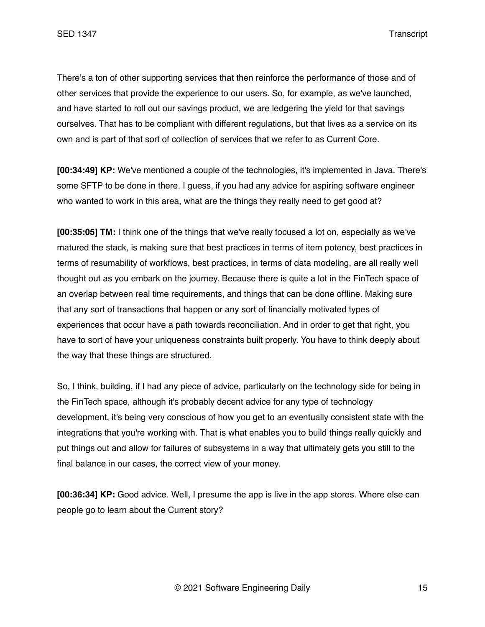There's a ton of other supporting services that then reinforce the performance of those and of other services that provide the experience to our users. So, for example, as we've launched, and have started to roll out our savings product, we are ledgering the yield for that savings ourselves. That has to be compliant with different regulations, but that lives as a service on its own and is part of that sort of collection of services that we refer to as Current Core.

**[00:34:49] KP:** We've mentioned a couple of the technologies, it's implemented in Java. There's some SFTP to be done in there. I guess, if you had any advice for aspiring software engineer who wanted to work in this area, what are the things they really need to get good at?

**[00:35:05] TM:** I think one of the things that we've really focused a lot on, especially as we've matured the stack, is making sure that best practices in terms of item potency, best practices in terms of resumability of workflows, best practices, in terms of data modeling, are all really well thought out as you embark on the journey. Because there is quite a lot in the FinTech space of an overlap between real time requirements, and things that can be done offline. Making sure that any sort of transactions that happen or any sort of financially motivated types of experiences that occur have a path towards reconciliation. And in order to get that right, you have to sort of have your uniqueness constraints built properly. You have to think deeply about the way that these things are structured.

So, I think, building, if I had any piece of advice, particularly on the technology side for being in the FinTech space, although it's probably decent advice for any type of technology development, it's being very conscious of how you get to an eventually consistent state with the integrations that you're working with. That is what enables you to build things really quickly and put things out and allow for failures of subsystems in a way that ultimately gets you still to the final balance in our cases, the correct view of your money.

**[00:36:34] KP:** Good advice. Well, I presume the app is live in the app stores. Where else can people go to learn about the Current story?